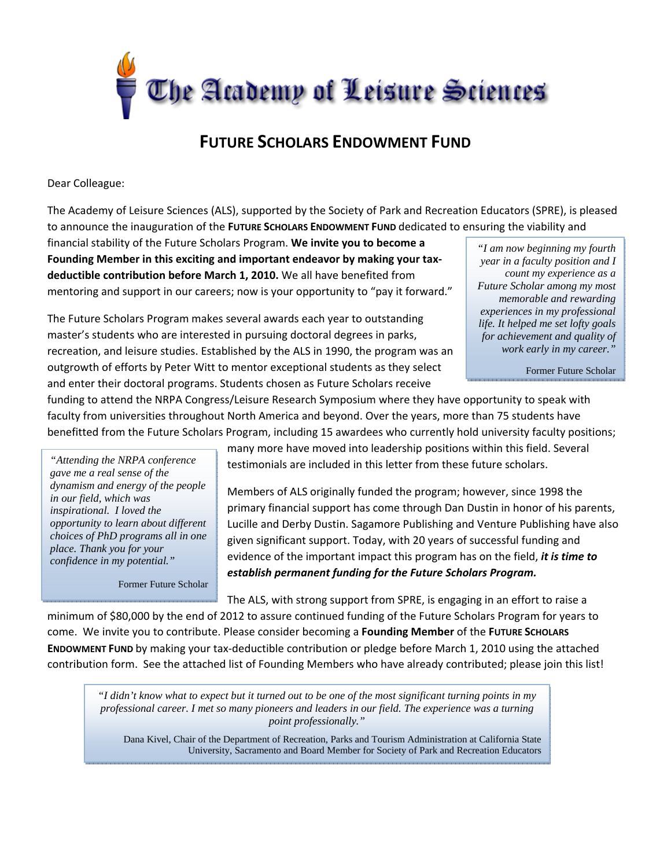

## **FUTURE SCHOLARS ENDOWMENT FUND**

Dear Colleague:

The Academy of Leisure Sciences (ALS), supported by the Society of Park and Recreation Educators (SPRE), is pleased to announce the inauguration of the **FUTURE SCHOLARS ENDOWMENT FUND** dedicated to ensuring the viability and

financial stability of the Future Scholars Program. **We invite you to become a Founding Member in this exciting and important endeavor by making your tax‐ deductible contribution before March 1, 2010.** We all have benefited from mentoring and support in our careers; now is your opportunity to "pay it forward."

The Future Scholars Program makes several awards each year to outstanding master's students who are interested in pursuing doctoral degrees in parks, recreation, and leisure studies. Established by the ALS in 1990, the program was an outgrowth of efforts by Peter Witt to mentor exceptional students as they select and enter their doctoral programs. Students chosen as Future Scholars receive

*"I am now beginning my fourth year in a faculty position and I count my experience as a Future Scholar among my most memorable and rewarding experiences in my professional life. It helped me set lofty goals for achievement and quality of work early in my career."* 

Former Future Scholar

funding to attend the NRPA Congress/Leisure Research Symposium where they have opportunity to speak with faculty from universities throughout North America and beyond. Over the years, more than 75 students have benefitted from the Future Scholars Program, including 15 awardees who currently hold university faculty positions;

*"Attending the NRPA conference gave me a real sense of the dynamism and energy of the people in our field, which was inspirational. I loved the opportunity to learn about different choices of PhD programs all in one place. Thank you for your confidence in my potential."* 

Former Future Scholar

many more have moved into leadership positions within this field. Several testimonials are included in this letter from these future scholars.

Members of ALS originally funded the program; however, since 1998 the primary financial support has come through Dan Dustin in honor of his parents, Lucille and Derby Dustin. Sagamore Publishing and Venture Publishing have also given significant support. Today, with 20 years of successful funding and evidence of the important impact this program has on the field, *it is time to establish permanent funding for the Future Scholars Program.*

The ALS, with strong support from SPRE, is engaging in an effort to raise a

minimum of \$80,000 by the end of 2012 to assure continued funding of the Future Scholars Program for years to come. We invite you to contribute. Please consider becoming a **Founding Member** of the **FUTURE SCHOLARS ENDOWMENT FUND** by making your tax‐deductible contribution or pledge before March 1, 2010 using the attached contribution form. See the attached list of Founding Members who have already contributed; please join this list!

*"I didn't know what to expect but it turned out to be one of the most significant turning points in my professional career. I met so many pioneers and leaders in our field. The experience was a turning point professionally."* 

Dana Kivel, Chair of the Department of Recreation, Parks and Tourism Administration at California State University, Sacramento and Board Member for Society of Park and Recreation Educators